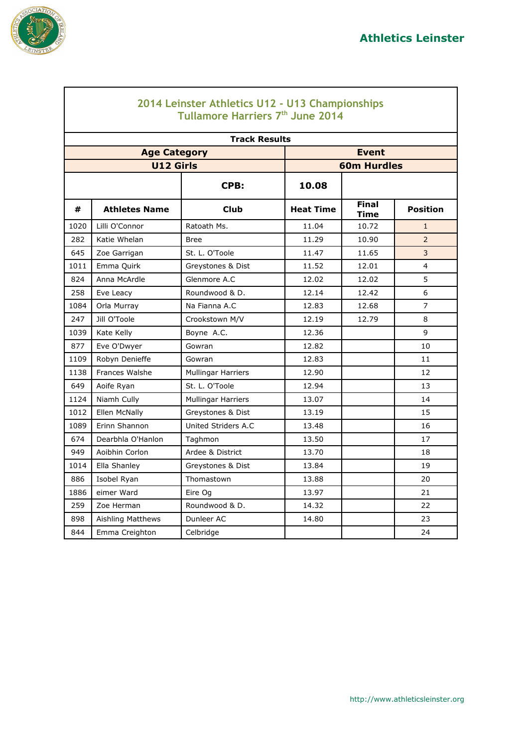

 $\lceil$ 

|      | 2014 Leinster Athletics U12 - U13 Championships<br>Tullamore Harriers 7th June 2014 |                           |                  |                             |                 |  |  |  |
|------|-------------------------------------------------------------------------------------|---------------------------|------------------|-----------------------------|-----------------|--|--|--|
|      |                                                                                     | <b>Track Results</b>      |                  |                             |                 |  |  |  |
|      | <b>Age Category</b>                                                                 |                           |                  | <b>Event</b>                |                 |  |  |  |
|      | <b>U12 Girls</b>                                                                    |                           |                  | <b>60m Hurdles</b>          |                 |  |  |  |
|      |                                                                                     | CPB:                      | 10.08            |                             |                 |  |  |  |
| #    | <b>Athletes Name</b>                                                                | <b>Club</b>               | <b>Heat Time</b> | <b>Final</b><br><b>Time</b> | <b>Position</b> |  |  |  |
| 1020 | Lilli O'Connor                                                                      | Ratoath Ms.               | 11.04            | 10.72                       | $\mathbf{1}$    |  |  |  |
| 282  | Katie Whelan                                                                        | <b>Bree</b>               | 11.29            | 10.90                       | $\overline{2}$  |  |  |  |
| 645  | Zoe Garrigan                                                                        | St. L. O'Toole            | 11.47            | 11.65                       | 3               |  |  |  |
| 1011 | Emma Quirk                                                                          | Greystones & Dist         | 11.52            | 12.01                       | 4               |  |  |  |
| 824  | Anna McArdle                                                                        | Glenmore A.C              | 12.02            | 12.02                       | 5               |  |  |  |
| 258  | Eve Leacy                                                                           | Roundwood & D.            | 12.14            | 12.42                       | 6               |  |  |  |
| 1084 | Orla Murray                                                                         | Na Fianna A.C             | 12.83            | 12.68                       | $\overline{7}$  |  |  |  |
| 247  | Jill O'Toole                                                                        | Crookstown M/V            | 12.19            | 12.79                       | 8               |  |  |  |
| 1039 | Kate Kelly                                                                          | Boyne A.C.                | 12.36            |                             | 9               |  |  |  |
| 877  | Eve O'Dwyer                                                                         | Gowran                    | 12.82            |                             | 10              |  |  |  |
| 1109 | Robyn Denieffe                                                                      | Gowran                    | 12.83            |                             | 11              |  |  |  |
| 1138 | <b>Frances Walshe</b>                                                               | <b>Mullingar Harriers</b> | 12.90            |                             | 12              |  |  |  |
| 649  | Aoife Ryan                                                                          | St. L. O'Toole            | 12.94            |                             | 13              |  |  |  |
| 1124 | Niamh Cully                                                                         | <b>Mullingar Harriers</b> | 13.07            |                             | 14              |  |  |  |
| 1012 | Ellen McNally                                                                       | Greystones & Dist         | 13.19            |                             | 15              |  |  |  |
| 1089 | Erinn Shannon                                                                       | United Striders A.C       | 13.48            |                             | 16              |  |  |  |
| 674  | Dearbhla O'Hanlon                                                                   | Taghmon                   | 13.50            |                             | 17              |  |  |  |
| 949  | Aoibhin Corlon                                                                      | Ardee & District          | 13.70            |                             | 18              |  |  |  |
| 1014 | Ella Shanley                                                                        | Greystones & Dist         | 13.84            |                             | 19              |  |  |  |
| 886  | Isobel Ryan                                                                         | Thomastown                | 13.88            |                             | 20              |  |  |  |
| 1886 | eimer Ward                                                                          | Eire Og                   | 13.97            |                             | 21              |  |  |  |
| 259  | Zoe Herman                                                                          | Roundwood & D.            | 14.32            |                             | 22              |  |  |  |
| 898  | Aishling Matthews                                                                   | Dunleer AC                | 14.80            |                             | 23              |  |  |  |
| 844  | Emma Creighton                                                                      | Celbridge                 |                  |                             | 24              |  |  |  |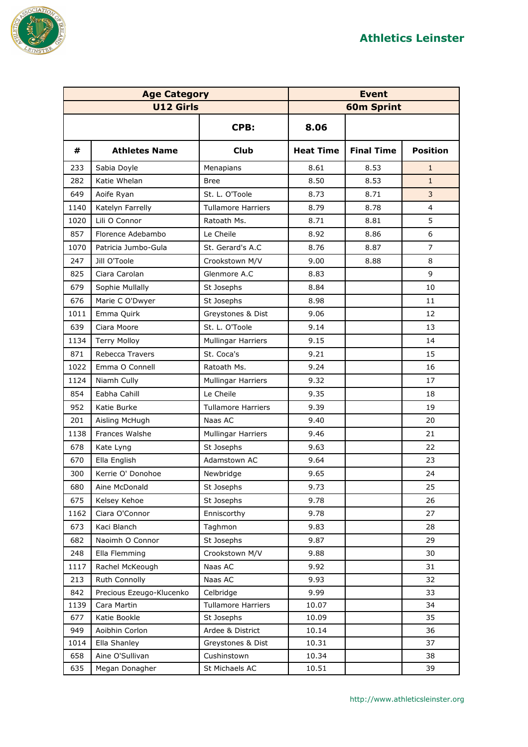

| <b>Age Category</b> |                          | <b>Event</b>              |                  |                   |                 |
|---------------------|--------------------------|---------------------------|------------------|-------------------|-----------------|
|                     | <b>U12 Girls</b>         |                           |                  | <b>60m Sprint</b> |                 |
|                     |                          | CPB:                      | 8.06             |                   |                 |
| #                   | <b>Athletes Name</b>     | <b>Club</b>               | <b>Heat Time</b> | <b>Final Time</b> | <b>Position</b> |
| 233                 | Sabia Doyle              | Menapians                 | 8.61             | 8.53              | $\mathbf{1}$    |
| 282                 | Katie Whelan             | <b>Bree</b>               | 8.50             | 8.53              | $\mathbf{1}$    |
| 649                 | Aoife Ryan               | St. L. O'Toole            | 8.73             | 8.71              | 3               |
| 1140                | Katelyn Farrelly         | <b>Tullamore Harriers</b> | 8.79             | 8.78              | $\overline{4}$  |
| 1020                | Lili O Connor            | Ratoath Ms.               | 8.71             | 8.81              | 5               |
| 857                 | Florence Adebambo        | Le Cheile                 | 8.92             | 8.86              | 6               |
| 1070                | Patricia Jumbo-Gula      | St. Gerard's A.C          | 8.76             | 8.87              | $\overline{7}$  |
| 247                 | Jill O'Toole             | Crookstown M/V            | 9.00             | 8.88              | 8               |
| 825                 | Ciara Carolan            | Glenmore A.C              | 8.83             |                   | 9               |
| 679                 | Sophie Mullally          | St Josephs                | 8.84             |                   | 10              |
| 676                 | Marie C O'Dwyer          | St Josephs                | 8.98             |                   | 11              |
| 1011                | Emma Quirk               | Greystones & Dist         | 9.06             |                   | 12              |
| 639                 | Ciara Moore              | St. L. O'Toole            | 9.14             |                   | 13              |
| 1134                | <b>Terry Molloy</b>      | Mullingar Harriers        | 9.15             |                   | 14              |
| 871                 | Rebecca Travers          | St. Coca's                | 9.21             |                   | 15              |
| 1022                | Emma O Connell           | Ratoath Ms.               | 9.24             |                   | 16              |
| 1124                | Niamh Cully              | <b>Mullingar Harriers</b> | 9.32             |                   | 17              |
| 854                 | Eabha Cahill             | Le Cheile                 | 9.35             |                   | 18              |
| 952                 | Katie Burke              | <b>Tullamore Harriers</b> | 9.39             |                   | 19              |
| 201                 | Aisling McHugh           | Naas AC                   | 9.40             |                   | 20              |
| 1138                | Frances Walshe           | <b>Mullingar Harriers</b> | 9.46             |                   | 21              |
| 678                 | Kate Lyng                | St Josephs                | 9.63             |                   | 22              |
| 670                 | Ella English             | Adamstown AC              | 9.64             |                   | 23              |
| 300                 | Kerrie O' Donohoe        | Newbridge                 | 9.65             |                   | 24              |
| 680                 | Aine McDonald            | St Josephs                | 9.73             |                   | 25              |
| 675                 | Kelsey Kehoe             | St Josephs                | 9.78             |                   | 26              |
| 1162                | Ciara O'Connor           | Enniscorthy               | 9.78             |                   | 27              |
| 673                 | Kaci Blanch              | Taghmon                   | 9.83             |                   | 28              |
| 682                 | Naoimh O Connor          | St Josephs                | 9.87             |                   | 29              |
| 248                 | Ella Flemming            | Crookstown M/V            | 9.88             |                   | 30              |
| 1117                | Rachel McKeough          | Naas AC                   | 9.92             |                   | 31              |
| 213                 | Ruth Connolly            | Naas AC                   | 9.93             |                   | 32              |
| 842                 | Precious Ezeugo-Klucenko | Celbridge                 | 9.99             |                   | 33              |
| 1139                | Cara Martin              | <b>Tullamore Harriers</b> | 10.07            |                   | 34              |
| 677                 | Katie Bookle             | St Josephs                | 10.09            |                   | 35              |
| 949                 | Aoibhin Corlon           | Ardee & District          | 10.14            |                   | 36              |
| 1014                | Ella Shanley             | Greystones & Dist         | 10.31            |                   | 37              |
| 658                 | Aine O'Sullivan          | Cushinstown               | 10.34            |                   | 38              |
| 635                 | Megan Donagher           | St Michaels AC            | 10.51            |                   | 39              |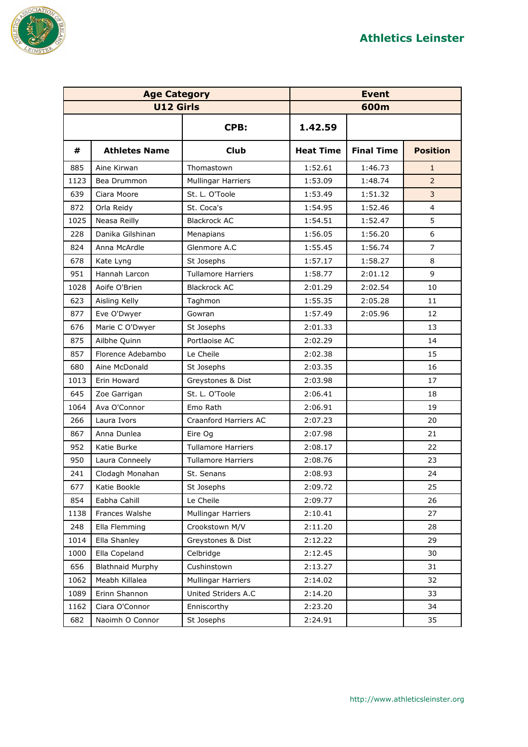

| <b>Age Category</b> |                         |                           | <b>Event</b>     |                   |                 |
|---------------------|-------------------------|---------------------------|------------------|-------------------|-----------------|
|                     | <b>U12 Girls</b>        |                           |                  | 600m              |                 |
|                     |                         | CPB:                      | 1.42.59          |                   |                 |
| #                   | <b>Athletes Name</b>    | <b>Club</b>               | <b>Heat Time</b> | <b>Final Time</b> | <b>Position</b> |
| 885                 | Aine Kirwan             | Thomastown                | 1:52.61          | 1:46.73           | $\mathbf{1}$    |
| 1123                | Bea Drummon             | <b>Mullingar Harriers</b> | 1:53.09          | 1:48.74           | $\overline{2}$  |
| 639                 | Ciara Moore             | St. L. O'Toole            | 1:53.49          | 1:51.32           | $\mathsf{3}$    |
| 872                 | Orla Reidy              | St. Coca's                | 1:54.95          | 1:52.46           | 4               |
| 1025                | Neasa Reilly            | <b>Blackrock AC</b>       | 1:54.51          | 1:52.47           | 5               |
| 228                 | Danika Gilshinan        | Menapians                 | 1:56.05          | 1:56.20           | 6               |
| 824                 | Anna McArdle            | Glenmore A.C              | 1:55.45          | 1:56.74           | $\overline{7}$  |
| 678                 | Kate Lyng               | St Josephs                | 1:57.17          | 1:58.27           | 8               |
| 951                 | Hannah Larcon           | <b>Tullamore Harriers</b> | 1:58.77          | 2:01.12           | 9               |
| 1028                | Aoife O'Brien           | <b>Blackrock AC</b>       | 2:01.29          | 2:02.54           | 10              |
| 623                 | Aisling Kelly           | Taghmon                   | 1:55.35          | 2:05.28           | 11              |
| 877                 | Eve O'Dwyer             | Gowran                    | 1:57.49          | 2:05.96           | 12              |
| 676                 | Marie C O'Dwyer         | St Josephs                | 2:01.33          |                   | 13              |
| 875                 | Ailbhe Quinn            | Portlaoise AC             | 2:02.29          |                   | 14              |
| 857                 | Florence Adebambo       | Le Cheile                 | 2:02.38          |                   | 15              |
| 680                 | Aine McDonald           | St Josephs                | 2:03.35          |                   | 16              |
| 1013                | Erin Howard             | Greystones & Dist         | 2:03.98          |                   | 17              |
| 645                 | Zoe Garrigan            | St. L. O'Toole            | 2:06.41          |                   | 18              |
| 1064                | Ava O'Connor            | Emo Rath                  | 2:06.91          |                   | 19              |
| 266                 | Laura Ivors             | Craanford Harriers AC     | 2:07.23          |                   | 20              |
| 867                 | Anna Dunlea             | Eire Og                   | 2:07.98          |                   | 21              |
| 952                 | Katie Burke             | <b>Tullamore Harriers</b> | 2:08.17          |                   | 22              |
| 950                 | Laura Conneely          | <b>Tullamore Harriers</b> | 2:08.76          |                   | 23              |
| 241                 | Clodagh Monahan         | St. Senans                | 2:08.93          |                   | 24              |
| 677                 | Katie Bookle            | St Josephs                | 2:09.72          |                   | 25              |
| 854                 | Eabha Cahill            | Le Cheile                 | 2:09.77          |                   | 26              |
| 1138                | Frances Walshe          | <b>Mullingar Harriers</b> | 2:10.41          |                   | 27              |
| 248                 | Ella Flemming           | Crookstown M/V            | 2:11.20          |                   | 28              |
| 1014                | Ella Shanley            | Greystones & Dist         | 2:12.22          |                   | 29              |
| 1000                | Ella Copeland           | Celbridge                 | 2:12.45          |                   | 30              |
| 656                 | <b>Blathnaid Murphy</b> | Cushinstown               | 2:13.27          |                   | 31              |
| 1062                | Meabh Killalea          | Mullingar Harriers        | 2:14.02          |                   | 32              |
| 1089                | Erinn Shannon           | United Striders A.C       | 2:14.20          |                   | 33              |
| 1162                | Ciara O'Connor          | Enniscorthy               | 2:23.20          |                   | 34              |
| 682                 | Naoimh O Connor         | St Josephs                | 2:24.91          |                   | 35              |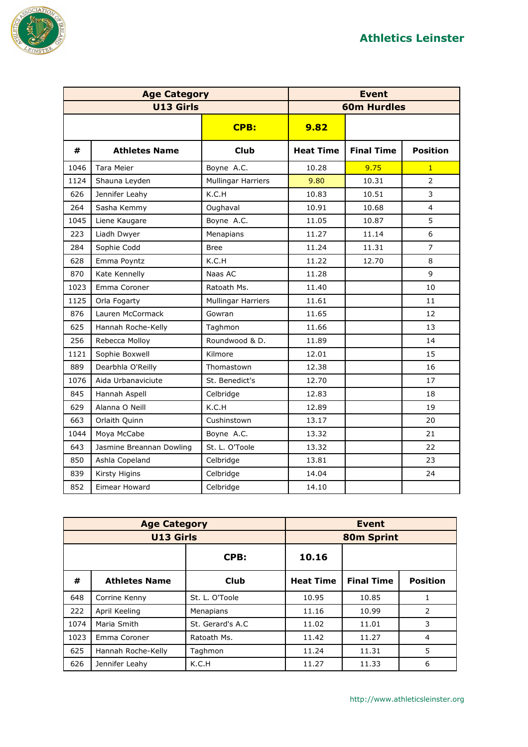

| <b>Age Category</b> |                          |                           | <b>Event</b>       |                   |                 |
|---------------------|--------------------------|---------------------------|--------------------|-------------------|-----------------|
|                     | <b>U13 Girls</b>         |                           | <b>60m Hurdles</b> |                   |                 |
|                     |                          | <b>CPB:</b>               | 9.82               |                   |                 |
| #                   | <b>Athletes Name</b>     | <b>Club</b>               | <b>Heat Time</b>   | <b>Final Time</b> | <b>Position</b> |
| 1046                | <b>Tara Meier</b>        | Boyne A.C.                | 10.28              | 9.75              | $\mathbf{1}$    |
| 1124                | Shauna Leyden            | <b>Mullingar Harriers</b> | 9.80               | 10.31             | $\overline{2}$  |
| 626                 | Jennifer Leahy           | K.C.H                     | 10.83              | 10.51             | 3               |
| 264                 | Sasha Kemmy              | Oughaval                  | 10.91              | 10.68             | $\overline{4}$  |
| 1045                | Liene Kaugare            | Boyne A.C.                | 11.05              | 10.87             | 5               |
| 223                 | Liadh Dwyer              | Menapians                 | 11.27              | 11.14             | 6               |
| 284                 | Sophie Codd              | <b>Bree</b>               | 11.24              | 11.31             | $\overline{7}$  |
| 628                 | Emma Poyntz              | K.C.H                     | 11.22              | 12.70             | 8               |
| 870                 | Kate Kennelly            | Naas AC                   | 11.28              |                   | 9               |
| 1023                | Emma Coroner             | Ratoath Ms.               | 11.40              |                   | 10              |
| 1125                | Orla Fogarty             | <b>Mullingar Harriers</b> | 11.61              |                   | 11              |
| 876                 | Lauren McCormack         | Gowran                    | 11.65              |                   | 12              |
| 625                 | Hannah Roche-Kelly       | Taghmon                   | 11.66              |                   | 13              |
| 256                 | Rebecca Molloy           | Roundwood & D.            | 11.89              |                   | 14              |
| 1121                | Sophie Boxwell           | Kilmore                   | 12.01              |                   | 15              |
| 889                 | Dearbhla O'Reilly        | Thomastown                | 12.38              |                   | 16              |
| 1076                | Aida Urbanaviciute       | St. Benedict's            | 12.70              |                   | 17              |
| 845                 | Hannah Aspell            | Celbridge                 | 12.83              |                   | 18              |
| 629                 | Alanna O Neill           | K.C.H                     | 12.89              |                   | 19              |
| 663                 | Orlaith Quinn            | Cushinstown               | 13.17              |                   | 20              |
| 1044                | Moya McCabe              | Boyne A.C.                | 13.32              |                   | 21              |
| 643                 | Jasmine Breannan Dowling | St. L. O'Toole            | 13.32              |                   | 22              |
| 850                 | Ashla Copeland           | Celbridge                 | 13.81              |                   | 23              |
| 839                 | Kirsty Higins            | Celbridge                 | 14.04              |                   | 24              |
| 852                 | Eimear Howard            | Celbridge                 | 14.10              |                   |                 |

|      | <b>Age Category</b>  |                   |                  | <b>Event</b>      |                 |  |
|------|----------------------|-------------------|------------------|-------------------|-----------------|--|
|      | <b>U13 Girls</b>     |                   | 80m Sprint       |                   |                 |  |
|      |                      | CPB:<br>10.16     |                  |                   |                 |  |
| #    | <b>Athletes Name</b> | <b>Club</b>       | <b>Heat Time</b> | <b>Final Time</b> | <b>Position</b> |  |
| 648  | Corrine Kenny        | St. L. O'Toole    | 10.95            | 10.85             |                 |  |
| 222  | April Keeling        | Menapians         | 11.16            | 10.99             | 2               |  |
| 1074 | Maria Smith          | St. Gerard's A.C. | 11.02            | 11.01             | 3               |  |
| 1023 | Emma Coroner         | Ratoath Ms.       | 11.42            | 11.27             | 4               |  |
| 625  | Hannah Roche-Kelly   | Taghmon           | 11.24            | 11.31             | 5               |  |
| 626  | Jennifer Leahy       | K.C.H             | 11.27            | 11.33             | 6               |  |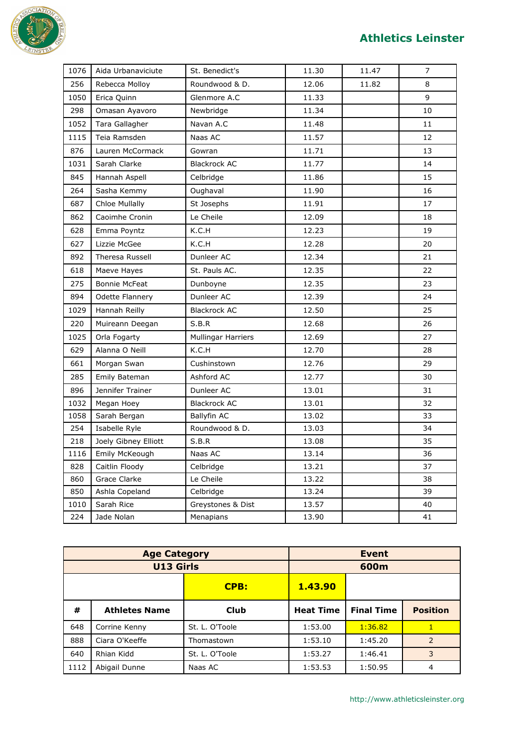

## **Athletics Leinster**

| 1076 | Aida Urbanaviciute     | St. Benedict's            | 11.30 | 11.47 | 7  |
|------|------------------------|---------------------------|-------|-------|----|
| 256  | Rebecca Molloy         | Roundwood & D.            | 12.06 | 11.82 | 8  |
| 1050 | Erica Quinn            | Glenmore A.C              | 11.33 |       | 9  |
| 298  | Omasan Ayavoro         | Newbridge                 | 11.34 |       | 10 |
| 1052 | Tara Gallagher         | Navan A.C                 | 11.48 |       | 11 |
| 1115 | Teia Ramsden           | Naas AC                   | 11.57 |       | 12 |
| 876  | Lauren McCormack       | Gowran                    | 11.71 |       | 13 |
| 1031 | Sarah Clarke           | <b>Blackrock AC</b>       | 11.77 |       | 14 |
| 845  | Hannah Aspell          | Celbridge                 | 11.86 |       | 15 |
| 264  | Sasha Kemmy            | Oughaval                  | 11.90 |       | 16 |
| 687  | Chloe Mullally         | St Josephs                | 11.91 |       | 17 |
| 862  | Caoimhe Cronin         | Le Cheile                 | 12.09 |       | 18 |
| 628  | Emma Poyntz            | K.C.H                     | 12.23 |       | 19 |
| 627  | Lizzie McGee           | K.C.H                     | 12.28 |       | 20 |
| 892  | <b>Theresa Russell</b> | Dunleer AC                | 12.34 |       | 21 |
| 618  | Maeve Hayes            | St. Pauls AC.             | 12.35 |       | 22 |
| 275  | <b>Bonnie McFeat</b>   | Dunboyne                  | 12.35 |       | 23 |
| 894  | Odette Flannery        | Dunleer AC                | 12.39 |       | 24 |
| 1029 | Hannah Reilly          | <b>Blackrock AC</b>       | 12.50 |       | 25 |
| 220  | Muireann Deegan        | S.B.R                     | 12.68 |       | 26 |
| 1025 | Orla Fogarty           | <b>Mullingar Harriers</b> | 12.69 |       | 27 |
| 629  | Alanna O Neill         | K.C.H                     | 12.70 |       | 28 |
| 661  | Morgan Swan            | Cushinstown               | 12.76 |       | 29 |
| 285  | Emily Bateman          | Ashford AC                | 12.77 |       | 30 |
| 896  | Jennifer Trainer       | Dunleer AC                | 13.01 |       | 31 |
| 1032 | Megan Hoey             | <b>Blackrock AC</b>       | 13.01 |       | 32 |
| 1058 | Sarah Bergan           | <b>Ballyfin AC</b>        | 13.02 |       | 33 |
| 254  | Isabelle Ryle          | Roundwood & D.            | 13.03 |       | 34 |
| 218  | Joely Gibney Elliott   | S.B.R                     | 13.08 |       | 35 |
| 1116 | Emily McKeough         | Naas AC                   | 13.14 |       | 36 |
| 828  | Caitlin Floody         | Celbridge                 | 13.21 |       | 37 |
| 860  | Grace Clarke           | Le Cheile                 | 13.22 |       | 38 |
| 850  | Ashla Copeland         | Celbridge                 | 13.24 |       | 39 |
| 1010 | Sarah Rice             | Greystones & Dist         | 13.57 |       | 40 |
| 224  | Jade Nolan             | Menapians                 | 13.90 |       | 41 |

| <b>Age Category</b> |                      |                | <b>Event</b>     |                   |                 |
|---------------------|----------------------|----------------|------------------|-------------------|-----------------|
| <b>U13 Girls</b>    |                      |                | 600m             |                   |                 |
|                     |                      | <b>CPB:</b>    | 1.43.90          |                   |                 |
| #                   | <b>Athletes Name</b> | <b>Club</b>    | <b>Heat Time</b> | <b>Final Time</b> | <b>Position</b> |
| 648                 | Corrine Kenny        | St. L. O'Toole | 1:53.00          | 1:36.82           | 1               |
| 888                 | Ciara O'Keeffe       | Thomastown     | 1:53.10          | 1:45.20           | 2               |
| 640                 | Rhian Kidd           | St. L. O'Toole | 1:53.27          | 1:46.41           | 3               |
| 1112                | Abigail Dunne        | Naas AC        | 1:53.53          | 1:50.95           | 4               |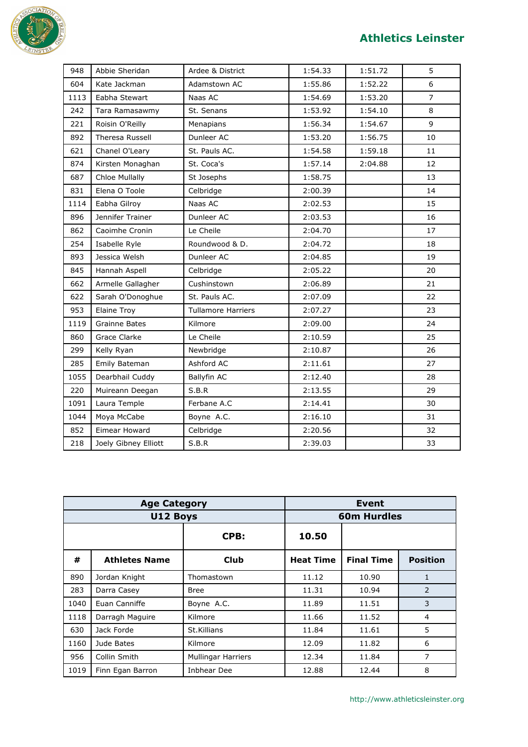

## **Athletics Leinster**

| 948  | Abbie Sheridan         | Ardee & District          | 1:54.33 | 1:51.72 | 5              |
|------|------------------------|---------------------------|---------|---------|----------------|
| 604  | Kate Jackman           | Adamstown AC              | 1:55.86 | 1:52.22 | 6              |
| 1113 | Eabha Stewart          | Naas AC                   | 1:54.69 | 1:53.20 | $\overline{7}$ |
| 242  | Tara Ramasawmy         | St. Senans                | 1:53.92 | 1:54.10 | 8              |
| 221  | Roisin O'Reilly        | Menapians                 | 1:56.34 | 1:54.67 | 9              |
| 892  | <b>Theresa Russell</b> | Dunleer AC                | 1:53.20 | 1:56.75 | 10             |
| 621  | Chanel O'Leary         | St. Pauls AC.             | 1:54.58 | 1:59.18 | 11             |
| 874  | Kirsten Monaghan       | St. Coca's                | 1:57.14 | 2:04.88 | 12             |
| 687  | <b>Chloe Mullally</b>  | St Josephs                | 1:58.75 |         | 13             |
| 831  | Elena O Toole          | Celbridge                 | 2:00.39 |         | 14             |
| 1114 | Eabha Gilroy           | Naas AC                   | 2:02.53 |         | 15             |
| 896  | Jennifer Trainer       | Dunleer AC                | 2:03.53 |         | 16             |
| 862  | Caoimhe Cronin         | Le Cheile                 | 2:04.70 |         | 17             |
| 254  | Isabelle Ryle          | Roundwood & D.            | 2:04.72 |         | 18             |
| 893  | Jessica Welsh          | Dunleer AC                | 2:04.85 |         | 19             |
| 845  | Hannah Aspell          | Celbridge                 | 2:05.22 |         | 20             |
| 662  | Armelle Gallagher      | Cushinstown               | 2:06.89 |         | 21             |
| 622  | Sarah O'Donoghue       | St. Pauls AC.             | 2:07.09 |         | 22             |
| 953  | <b>Elaine Troy</b>     | <b>Tullamore Harriers</b> | 2:07.27 |         | 23             |
| 1119 | <b>Grainne Bates</b>   | Kilmore                   | 2:09.00 |         | 24             |
| 860  | Grace Clarke           | Le Cheile                 | 2:10.59 |         | 25             |
| 299  | Kelly Ryan             | Newbridge                 | 2:10.87 |         | 26             |
| 285  | Emily Bateman          | Ashford AC                | 2:11.61 |         | 27             |
| 1055 | Dearbhail Cuddy        | <b>Ballyfin AC</b>        | 2:12.40 |         | 28             |
| 220  | Muireann Deegan        | S.B.R                     | 2:13.55 |         | 29             |
| 1091 | Laura Temple           | Ferbane A.C               | 2:14.41 |         | 30             |
| 1044 | Moya McCabe            | Boyne A.C.                | 2:16.10 |         | 31             |
| 852  | Eimear Howard          | Celbridge                 | 2:20.56 |         | 32             |
| 218  | Joely Gibney Elliott   | S.B.R                     | 2:39.03 |         | 33             |

|      | <b>Age Category</b>  |                           |                    | Event             |                 |  |
|------|----------------------|---------------------------|--------------------|-------------------|-----------------|--|
|      | U12 Boys             |                           | <b>60m Hurdles</b> |                   |                 |  |
|      |                      | CPB:                      | 10.50              |                   |                 |  |
| #    | <b>Athletes Name</b> | Club                      | <b>Heat Time</b>   | <b>Final Time</b> | <b>Position</b> |  |
| 890  | Jordan Knight        | Thomastown                | 11.12              | 10.90             | 1               |  |
| 283  | Darra Casey          | <b>Bree</b>               | 11.31              | 10.94             | 2               |  |
| 1040 | Euan Canniffe        | Boyne A.C.                | 11.89              | 11.51             | 3               |  |
| 1118 | Darragh Maguire      | Kilmore                   | 11.66              | 11.52             | 4               |  |
| 630  | Jack Forde           | St.Killians               | 11.84              | 11.61             | 5               |  |
| 1160 | Jude Bates           | Kilmore                   | 12.09              | 11.82             | 6               |  |
| 956  | Collin Smith         | <b>Mullingar Harriers</b> | 12.34              | 11.84             | 7               |  |
| 1019 | Finn Egan Barron     | Inbhear Dee               | 12.88              | 12.44             | 8               |  |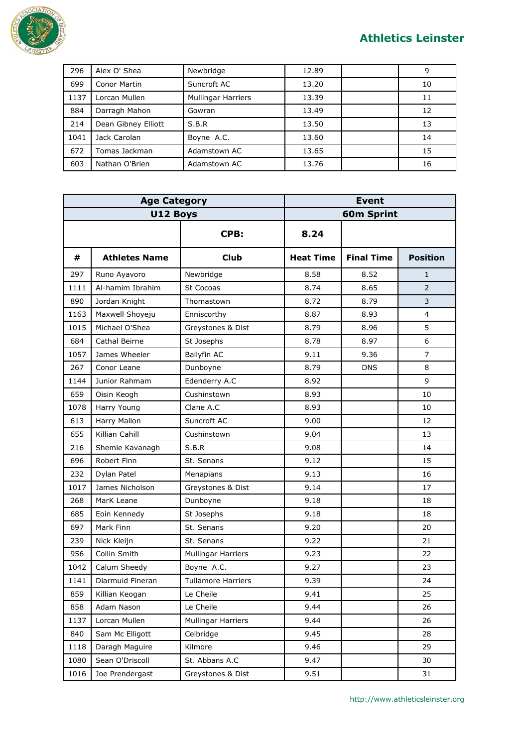

| 296  | Alex O' Shea        | Newbridge                 | 12.89 | 9  |
|------|---------------------|---------------------------|-------|----|
| 699  | Conor Martin        | Suncroft AC               | 13.20 | 10 |
| 1137 | Lorcan Mullen       | <b>Mullingar Harriers</b> | 13.39 | 11 |
| 884  | Darragh Mahon       | Gowran                    | 13.49 | 12 |
| 214  | Dean Gibney Elliott | S.B.R                     | 13.50 | 13 |
| 1041 | Jack Carolan        | Boyne A.C.                | 13.60 | 14 |
| 672  | Tomas Jackman       | Adamstown AC              | 13.65 | 15 |
| 603  | Nathan O'Brien      | Adamstown AC              | 13.76 | 16 |

| <b>Age Category</b> |                      | <b>Event</b>              |                  |                   |                 |
|---------------------|----------------------|---------------------------|------------------|-------------------|-----------------|
|                     | U12 Boys             |                           |                  | <b>60m Sprint</b> |                 |
|                     |                      | CPB:                      | 8.24             |                   |                 |
| #                   | <b>Athletes Name</b> | <b>Club</b>               | <b>Heat Time</b> | <b>Final Time</b> | <b>Position</b> |
| 297                 | Runo Ayavoro         | Newbridge                 | 8.58             | 8.52              | 1               |
| 1111                | Al-hamim Ibrahim     | St Cocoas                 | 8.74             | 8.65              | $\overline{2}$  |
| 890                 | Jordan Knight        | Thomastown                | 8.72             | 8.79              | 3               |
| 1163                | Maxwell Shoyeju      | Enniscorthy               | 8.87             | 8.93              | $\overline{4}$  |
| 1015                | Michael O'Shea       | Greystones & Dist         | 8.79             | 8.96              | 5               |
| 684                 | Cathal Beirne        | St Josephs                | 8.78             | 8.97              | 6               |
| 1057                | James Wheeler        | Ballyfin AC               | 9.11             | 9.36              | $\overline{7}$  |
| 267                 | Conor Leane          | Dunboyne                  | 8.79             | <b>DNS</b>        | 8               |
| 1144                | Junior Rahmam        | Edenderry A.C             | 8.92             |                   | 9               |
| 659                 | Oisin Keogh          | Cushinstown               | 8.93             |                   | 10              |
| 1078                | Harry Young          | Clane A.C                 | 8.93             |                   | 10              |
| 613                 | Harry Mallon         | Suncroft AC               | 9.00             |                   | 12              |
| 655                 | Killian Cahill       | Cushinstown               | 9.04             |                   | 13              |
| 216                 | Shemie Kavanagh      | S.B.R                     | 9.08             |                   | 14              |
| 696                 | Robert Finn          | St. Senans                | 9.12             |                   | 15              |
| 232                 | Dylan Patel          | Menapians                 | 9.13             |                   | 16              |
| 1017                | James Nicholson      | Greystones & Dist         | 9.14             |                   | 17              |
| 268                 | MarK Leane           | Dunboyne                  | 9.18             |                   | 18              |
| 685                 | Eoin Kennedy         | St Josephs                | 9.18             |                   | 18              |
| 697                 | Mark Finn            | St. Senans                | 9.20             |                   | 20              |
| 239                 | Nick Kleijn          | St. Senans                | 9.22             |                   | 21              |
| 956                 | Collin Smith         | <b>Mullingar Harriers</b> | 9.23             |                   | 22              |
| 1042                | Calum Sheedy         | Boyne A.C.                | 9.27             |                   | 23              |
| 1141                | Diarmuid Fineran     | <b>Tullamore Harriers</b> | 9.39             |                   | 24              |
| 859                 | Killian Keogan       | Le Cheile                 | 9.41             |                   | 25              |
| 858                 | Adam Nason           | Le Cheile                 | 9.44             |                   | 26              |
| 1137                | Lorcan Mullen        | Mullingar Harriers        | 9.44             |                   | 26              |
| 840                 | Sam Mc Elligott      | Celbridge                 | 9.45             |                   | 28              |
| 1118                | Daragh Maguire       | Kilmore                   | 9.46             |                   | 29              |
| 1080                | Sean O'Driscoll      | St. Abbans A.C            | 9.47             |                   | 30              |
| 1016                | Joe Prendergast      | Greystones & Dist         | 9.51             |                   | 31              |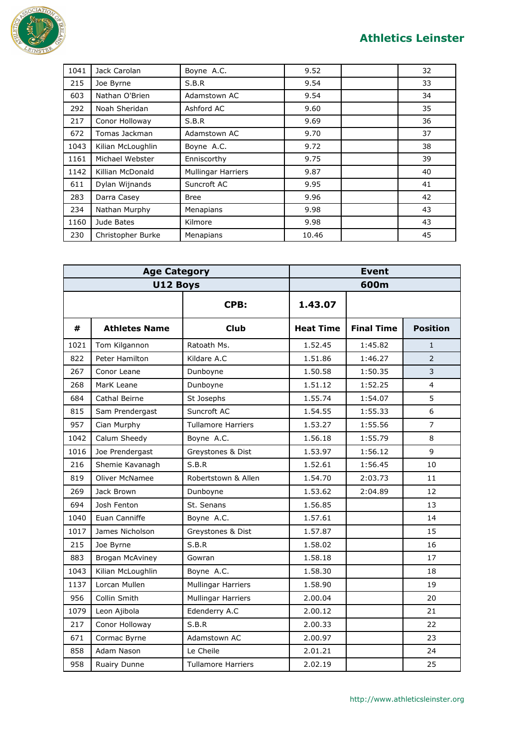

| 1041 | Jack Carolan      | Boyne A.C.                | 9.52  | 32 |
|------|-------------------|---------------------------|-------|----|
| 215  | Joe Byrne         | S.B.R                     | 9.54  | 33 |
| 603  | Nathan O'Brien    | Adamstown AC              | 9.54  | 34 |
| 292  | Noah Sheridan     | Ashford AC                | 9.60  | 35 |
| 217  | Conor Holloway    | S.B.R                     | 9.69  | 36 |
| 672  | Tomas Jackman     | Adamstown AC              | 9.70  | 37 |
| 1043 | Kilian McLoughlin | Boyne A.C.                | 9.72  | 38 |
| 1161 | Michael Webster   | Enniscorthy               | 9.75  | 39 |
| 1142 | Killian McDonald  | <b>Mullingar Harriers</b> | 9.87  | 40 |
| 611  | Dylan Wijnands    | Suncroft AC               | 9.95  | 41 |
| 283  | Darra Casey       | <b>Bree</b>               | 9.96  | 42 |
| 234  | Nathan Murphy     | Menapians                 | 9.98  | 43 |
| 1160 | Jude Bates        | Kilmore                   | 9.98  | 43 |
| 230  | Christopher Burke | Menapians                 | 10.46 | 45 |

| <b>Age Category</b> |                       |                           | <b>Event</b>     |                   |                 |
|---------------------|-----------------------|---------------------------|------------------|-------------------|-----------------|
| U12 Boys            |                       | 600m                      |                  |                   |                 |
|                     |                       | CPB:                      | 1.43.07          |                   |                 |
| #                   | <b>Athletes Name</b>  | <b>Club</b>               | <b>Heat Time</b> | <b>Final Time</b> | <b>Position</b> |
| 1021                | Tom Kilgannon         | Ratoath Ms.               | 1.52.45          | 1:45.82           | $\mathbf{1}$    |
| 822                 | Peter Hamilton        | Kildare A.C               | 1.51.86          | 1:46.27           | $\overline{2}$  |
| 267                 | Conor Leane           | Dunboyne                  | 1.50.58          | 1:50.35           | 3               |
| 268                 | MarK Leane            | Dunboyne                  | 1.51.12          | 1:52.25           | $\overline{4}$  |
| 684                 | Cathal Beirne         | St Josephs                | 1.55.74          | 1:54.07           | 5               |
| 815                 | Sam Prendergast       | Suncroft AC               | 1.54.55          | 1:55.33           | 6               |
| 957                 | Cian Murphy           | <b>Tullamore Harriers</b> | 1.53.27          | 1:55.56           | $\overline{7}$  |
| 1042                | Calum Sheedy          | Boyne A.C.                | 1.56.18          | 1:55.79           | 8               |
| 1016                | Joe Prendergast       | Greystones & Dist         | 1.53.97          | 1:56.12           | 9               |
| 216                 | Shemie Kavanagh       | S.B.R                     | 1.52.61          | 1:56.45           | 10              |
| 819                 | <b>Oliver McNamee</b> | Robertstown & Allen       | 1.54.70          | 2:03.73           | 11              |
| 269                 | Jack Brown            | Dunboyne                  | 1.53.62          | 2:04.89           | 12              |
| 694                 | Josh Fenton           | St. Senans                | 1.56.85          |                   | 13              |
| 1040                | Euan Canniffe         | Boyne A.C.                | 1.57.61          |                   | 14              |
| 1017                | James Nicholson       | Greystones & Dist         | 1.57.87          |                   | 15              |
| 215                 | Joe Byrne             | S.B.R                     | 1.58.02          |                   | 16              |
| 883                 | Brogan McAviney       | Gowran                    | 1.58.18          |                   | 17              |
| 1043                | Kilian McLoughlin     | Boyne A.C.                | 1.58.30          |                   | 18              |
| 1137                | Lorcan Mullen         | Mullingar Harriers        | 1.58.90          |                   | 19              |
| 956                 | Collin Smith          | Mullingar Harriers        | 2.00.04          |                   | 20              |
| 1079                | Leon Ajibola          | Edenderry A.C             | 2.00.12          |                   | 21              |
| 217                 | Conor Holloway        | S.B.R                     | 2.00.33          |                   | 22              |
| 671                 | Cormac Byrne          | Adamstown AC              | 2.00.97          |                   | 23              |
| 858                 | Adam Nason            | Le Cheile                 | 2.01.21          |                   | 24              |
| 958                 | Ruairy Dunne          | <b>Tullamore Harriers</b> | 2.02.19          |                   | 25              |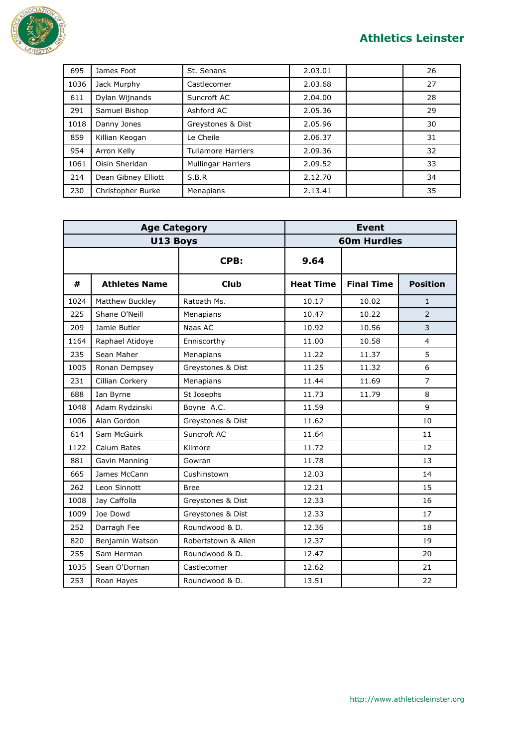

| 695  | James Foot          | St. Senans                | 2.03.01 | 26 |
|------|---------------------|---------------------------|---------|----|
| 1036 | Jack Murphy         | Castlecomer               | 2.03.68 | 27 |
| 611  | Dylan Wijnands      | Suncroft AC               | 2.04.00 | 28 |
| 291  | Samuel Bishop       | Ashford AC                | 2.05.36 | 29 |
| 1018 | Danny Jones         | Greystones & Dist         | 2.05.96 | 30 |
| 859  | Killian Keogan      | Le Cheile                 | 2.06.37 | 31 |
| 954  | Arron Kelly         | <b>Tullamore Harriers</b> | 2.09.36 | 32 |
| 1061 | Oisin Sheridan      | <b>Mullingar Harriers</b> | 2.09.52 | 33 |
| 214  | Dean Gibney Elliott | S.B.R                     | 2.12.70 | 34 |
| 230  | Christopher Burke   | Menapians                 | 2.13.41 | 35 |

| <b>Age Category</b> |                      |                     | <b>Event</b>     |                   |                 |
|---------------------|----------------------|---------------------|------------------|-------------------|-----------------|
| U13 Boys            |                      | <b>60m Hurdles</b>  |                  |                   |                 |
|                     |                      | CPB:                | 9.64             |                   |                 |
| #                   | <b>Athletes Name</b> | <b>Club</b>         | <b>Heat Time</b> | <b>Final Time</b> | <b>Position</b> |
| 1024                | Matthew Buckley      | Ratoath Ms.         | 10.17            | 10.02             | $\mathbf{1}$    |
| 225                 | Shane O'Neill        | Menapians           | 10.47            | 10.22             | $\overline{2}$  |
| 209                 | Jamie Butler         | Naas AC             | 10.92            | 10.56             | 3               |
| 1164                | Raphael Atidoye      | Enniscorthy         | 11.00            | 10.58             | $\overline{4}$  |
| 235                 | Sean Maher           | Menapians           | 11.22            | 11.37             | 5               |
| 1005                | Ronan Dempsey        | Greystones & Dist   | 11.25            | 11.32             | 6               |
| 231                 | Cillian Corkery      | Menapians           | 11.44            | 11.69             | $\overline{7}$  |
| 688                 | Ian Byrne            | St Josephs          | 11.73            | 11.79             | 8               |
| 1048                | Adam Rydzinski       | Boyne A.C.          | 11.59            |                   | 9               |
| 1006                | Alan Gordon          | Greystones & Dist   | 11.62            |                   | 10              |
| 614                 | Sam McGuirk          | Suncroft AC         | 11.64            |                   | 11              |
| 1122                | Calum Bates          | Kilmore             | 11.72            |                   | 12              |
| 881                 | Gavin Manning        | Gowran              | 11.78            |                   | 13              |
| 665                 | James McCann         | Cushinstown         | 12.03            |                   | 14              |
| 262                 | Leon Sinnott         | <b>Bree</b>         | 12.21            |                   | 15              |
| 1008                | Jay Caffolla         | Greystones & Dist   | 12.33            |                   | 16              |
| 1009                | Joe Dowd             | Greystones & Dist   | 12.33            |                   | 17              |
| 252                 | Darragh Fee          | Roundwood & D.      | 12.36            |                   | 18              |
| 820                 | Benjamin Watson      | Robertstown & Allen | 12.37            |                   | 19              |
| 255                 | Sam Herman           | Roundwood & D.      | 12.47            |                   | 20              |
| 1035                | Sean O'Dornan        | Castlecomer         | 12.62            |                   | 21              |
| 253                 | Roan Hayes           | Roundwood & D.      | 13.51            |                   | 22              |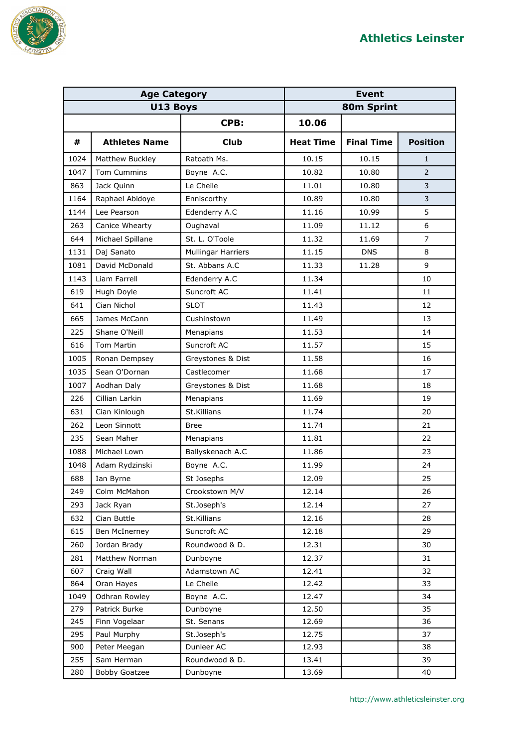

| <b>Age Category</b> |                      | <b>Event</b>              |                  |                   |                 |
|---------------------|----------------------|---------------------------|------------------|-------------------|-----------------|
| U13 Boys            |                      | 80m Sprint                |                  |                   |                 |
|                     |                      | CPB:                      | 10.06            |                   |                 |
| #                   | <b>Athletes Name</b> | <b>Club</b>               | <b>Heat Time</b> | <b>Final Time</b> | <b>Position</b> |
| 1024                | Matthew Buckley      | Ratoath Ms.               | 10.15            | 10.15             | $\mathbf{1}$    |
| 1047                | <b>Tom Cummins</b>   | Boyne A.C.                | 10.82            | 10.80             | $\overline{2}$  |
| 863                 | Jack Quinn           | Le Cheile                 | 11.01            | 10.80             | 3               |
| 1164                | Raphael Abidoye      | Enniscorthy               | 10.89            | 10.80             | 3               |
| 1144                | Lee Pearson          | Edenderry A.C             | 11.16            | 10.99             | 5               |
| 263                 | Canice Whearty       | Oughaval                  | 11.09            | 11.12             | 6               |
| 644                 | Michael Spillane     | St. L. O'Toole            | 11.32            | 11.69             | $\overline{7}$  |
| 1131                | Daj Sanato           | <b>Mullingar Harriers</b> | 11.15            | <b>DNS</b>        | 8               |
| 1081                | David McDonald       | St. Abbans A.C            | 11.33            | 11.28             | 9               |
| 1143                | Liam Farrell         | Edenderry A.C             | 11.34            |                   | 10              |
| 619                 | Hugh Doyle           | Suncroft AC               | 11.41            |                   | 11              |
| 641                 | Cian Nichol          | <b>SLOT</b>               | 11.43            |                   | 12              |
| 665                 | James McCann         | Cushinstown               | 11.49            |                   | 13              |
| 225                 | Shane O'Neill        | Menapians                 | 11.53            |                   | 14              |
| 616                 | <b>Tom Martin</b>    | Suncroft AC               | 11.57            |                   | 15              |
| 1005                | Ronan Dempsey        | Greystones & Dist         | 11.58            |                   | 16              |
| 1035                | Sean O'Dornan        | Castlecomer               | 11.68            |                   | 17              |
| 1007                | Aodhan Daly          | Greystones & Dist         | 11.68            |                   | 18              |
| 226                 | Cillian Larkin       | Menapians                 | 11.69            |                   | 19              |
| 631                 | Cian Kinlough        | St.Killians               | 11.74            |                   | 20              |
| 262                 | Leon Sinnott         | Bree                      | 11.74            |                   | 21              |
| 235                 | Sean Maher           | Menapians                 | 11.81            |                   | 22              |
| 1088                | Michael Lown         | Ballyskenach A.C          | 11.86            |                   | 23              |
| 1048                | Adam Rydzinski       | Boyne A.C.                | 11.99            |                   | 24              |
| 688                 | Ian Byrne            | St Josephs                | 12.09            |                   | 25              |
| 249                 | Colm McMahon         | Crookstown M/V            | 12.14            |                   | 26              |
| 293                 | Jack Ryan            | St.Joseph's               | 12.14            |                   | 27              |
| 632                 | Cian Buttle          | St.Killians               | 12.16            |                   | 28              |
| 615                 | Ben McInerney        | Suncroft AC               | 12.18            |                   | 29              |
| 260                 | Jordan Brady         | Roundwood & D.            | 12.31            |                   | 30              |
| 281                 | Matthew Norman       | Dunboyne                  | 12.37            |                   | 31              |
| 607                 | Craig Wall           | Adamstown AC              | 12.41            |                   | 32              |
| 864                 | Oran Hayes           | Le Cheile                 | 12.42            |                   | 33              |
| 1049                | Odhran Rowley        | Boyne A.C.                | 12.47            |                   | 34              |
| 279                 | Patrick Burke        | Dunboyne                  | 12.50            |                   | 35              |
| 245                 | Finn Vogelaar        | St. Senans                | 12.69            |                   | 36              |
| 295                 | Paul Murphy          | St.Joseph's               | 12.75            |                   | 37              |
| 900                 | Peter Meegan         | Dunleer AC                | 12.93            |                   | 38              |
| 255                 | Sam Herman           | Roundwood & D.            | 13.41            |                   | 39              |
| 280                 | <b>Bobby Goatzee</b> | Dunboyne                  | 13.69            |                   | 40              |